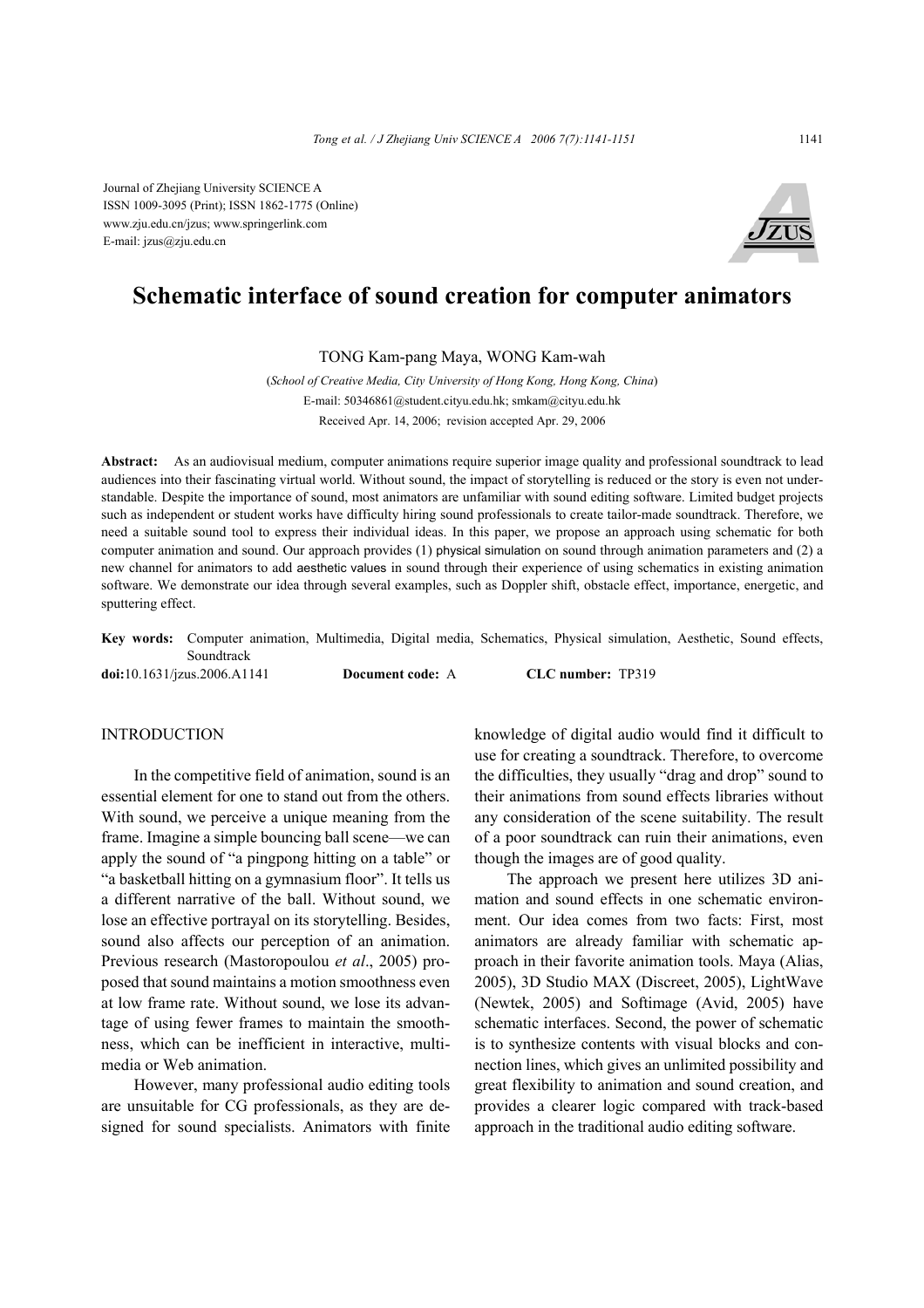Journal of Zhejiang University SCIENCE A ISSN 1009-3095 (Print); ISSN 1862-1775 (Online) www.zju.edu.cn/jzus; www.springerlink.com E-mail: jzus@zju.edu.cn



# **Schematic interface of sound creation for computer animators**

TONG Kam-pang Maya, WONG Kam-wah

(*School of Creative Media, City University of Hong Kong, Hong Kong, China*) E-mail: 50346861@student.cityu.edu.hk; smkam@cityu.edu.hk Received Apr. 14, 2006; revision accepted Apr. 29, 2006

**Abstract:** As an audiovisual medium, computer animations require superior image quality and professional soundtrack to lead audiences into their fascinating virtual world. Without sound, the impact of storytelling is reduced or the story is even not understandable. Despite the importance of sound, most animators are unfamiliar with sound editing software. Limited budget projects such as independent or student works have difficulty hiring sound professionals to create tailor-made soundtrack. Therefore, we need a suitable sound tool to express their individual ideas. In this paper, we propose an approach using schematic for both computer animation and sound. Our approach provides (1) physical simulation on sound through animation parameters and (2) a new channel for animators to add aesthetic values in sound through their experience of using schematics in existing animation software. We demonstrate our idea through several examples, such as Doppler shift, obstacle effect, importance, energetic, and sputtering effect.

**Key words:** Computer animation, Multimedia, Digital media, Schematics, Physical simulation, Aesthetic, Sound effects, **Soundtrack** 

**doi:**10.1631/jzus.2006.A1141 **Document code:** A **CLC number:** TP319

## **INTRODUCTION**

In the competitive field of animation, sound is an essential element for one to stand out from the others. With sound, we perceive a unique meaning from the frame. Imagine a simple bouncing ball scene—we can apply the sound of "a pingpong hitting on a table" or "a basketball hitting on a gymnasium floor". It tells us a different narrative of the ball. Without sound, we lose an effective portrayal on its storytelling. Besides, sound also affects our perception of an animation. Previous research (Mastoropoulou *et al*., 2005) proposed that sound maintains a motion smoothness even at low frame rate. Without sound, we lose its advantage of using fewer frames to maintain the smoothness, which can be inefficient in interactive, multimedia or Web animation.

However, many professional audio editing tools are unsuitable for CG professionals, as they are designed for sound specialists. Animators with finite knowledge of digital audio would find it difficult to use for creating a soundtrack. Therefore, to overcome the difficulties, they usually "drag and drop" sound to their animations from sound effects libraries without any consideration of the scene suitability. The result of a poor soundtrack can ruin their animations, even though the images are of good quality.

The approach we present here utilizes 3D animation and sound effects in one schematic environment. Our idea comes from two facts: First, most animators are already familiar with schematic approach in their favorite animation tools. Maya (Alias, 2005), 3D Studio MAX (Discreet, 2005), LightWave (Newtek, 2005) and Softimage (Avid, 2005) have schematic interfaces. Second, the power of schematic is to synthesize contents with visual blocks and connection lines, which gives an unlimited possibility and great flexibility to animation and sound creation, and provides a clearer logic compared with track-based approach in the traditional audio editing software.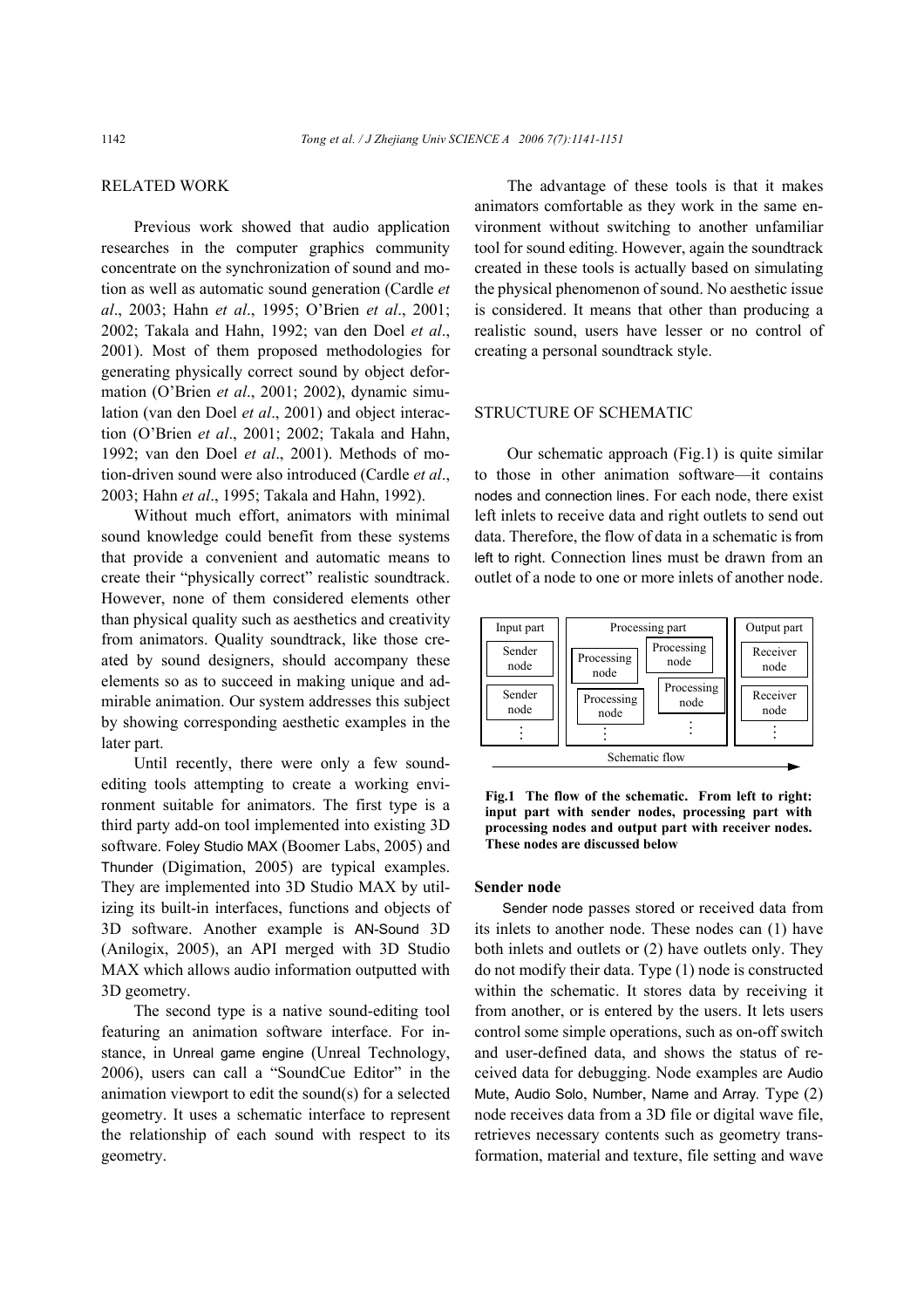# RELATED WORK

Previous work showed that audio application researches in the computer graphics community concentrate on the synchronization of sound and motion as well as automatic sound generation (Cardle *et al*., 2003; Hahn *et al*., 1995; O'Brien *et al*., 2001; 2002; Takala and Hahn, 1992; van den Doel *et al*., 2001). Most of them proposed methodologies for generating physically correct sound by object deformation (O'Brien *et al*., 2001; 2002), dynamic simulation (van den Doel *et al*., 2001) and object interaction (O'Brien *et al*., 2001; 2002; Takala and Hahn, 1992; van den Doel *et al*., 2001). Methods of motion-driven sound were also introduced (Cardle *et al*., 2003; Hahn *et al*., 1995; Takala and Hahn, 1992).

Without much effort, animators with minimal sound knowledge could benefit from these systems that provide a convenient and automatic means to create their "physically correct" realistic soundtrack. However, none of them considered elements other than physical quality such as aesthetics and creativity from animators. Quality soundtrack, like those created by sound designers, should accompany these elements so as to succeed in making unique and admirable animation. Our system addresses this subject by showing corresponding aesthetic examples in the later part.

Until recently, there were only a few soundediting tools attempting to create a working environment suitable for animators. The first type is a third party add-on tool implemented into existing 3D software. Foley Studio MAX (Boomer Labs, 2005) and Thunder (Digimation, 2005) are typical examples. They are implemented into 3D Studio MAX by utilizing its built-in interfaces, functions and objects of 3D software. Another example is AN-Sound 3D (Anilogix, 2005), an API merged with 3D Studio MAX which allows audio information outputted with 3D geometry.

The second type is a native sound-editing tool featuring an animation software interface. For instance, in Unreal game engine (Unreal Technology, 2006), users can call a "SoundCue Editor" in the animation viewport to edit the sound(s) for a selected geometry. It uses a schematic interface to represent the relationship of each sound with respect to its geometry.

The advantage of these tools is that it makes animators comfortable as they work in the same environment without switching to another unfamiliar tool for sound editing. However, again the soundtrack created in these tools is actually based on simulating the physical phenomenon of sound. No aesthetic issue is considered. It means that other than producing a realistic sound, users have lesser or no control of creating a personal soundtrack style.

# STRUCTURE OF SCHEMATIC

Our schematic approach (Fig.1) is quite similar to those in other animation software—it contains nodes and connection lines. For each node, there exist left inlets to receive data and right outlets to send out data. Therefore, the flow of data in a schematic is from left to right. Connection lines must be drawn from an outlet of a node to one or more inlets of another node.



**Fig.1 The flow of the schematic. From left to right: input part with sender nodes, processing part with processing nodes and output part with receiver nodes. These nodes are discussed below**

#### **Sender node**

Sender node passes stored or received data from its inlets to another node. These nodes can (1) have both inlets and outlets or (2) have outlets only. They do not modify their data. Type (1) node is constructed within the schematic. It stores data by receiving it from another, or is entered by the users. It lets users control some simple operations, such as on-off switch and user-defined data, and shows the status of received data for debugging. Node examples are Audio Mute, Audio Solo, Number, Name and Array*.* Type (2) node receives data from a 3D file or digital wave file, retrieves necessary contents such as geometry transformation, material and texture, file setting and wave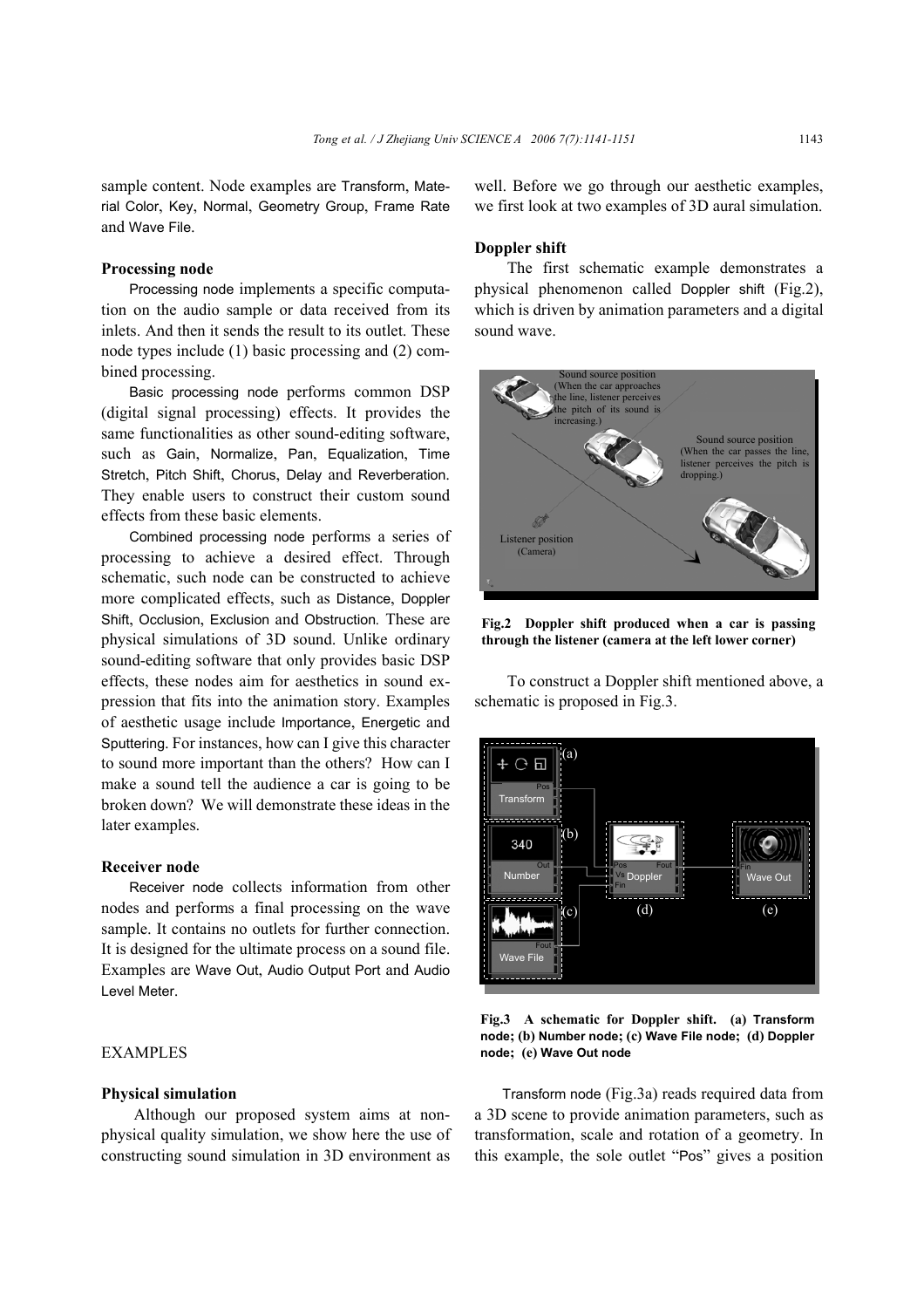sample content. Node examples are Transform, Material Color, Key, Normal, Geometry Group, Frame Rate and Wave File.

# **Processing node**

Processing node implements a specific computation on the audio sample or data received from its inlets. And then it sends the result to its outlet. These node types include (1) basic processing and (2) combined processing.

Basic processing node performs common DSP (digital signal processing) effects. It provides the same functionalities as other sound-editing software, such as Gain, Normalize, Pan, Equalization, Time Stretch, Pitch Shift, Chorus, Delay and Reverberation. They enable users to construct their custom sound effects from these basic elements.

Combined processing node performs a series of processing to achieve a desired effect. Through schematic, such node can be constructed to achieve more complicated effects, such as Distance, Doppler Shift, Occlusion, Exclusion and Obstruction*.* These are physical simulations of 3D sound. Unlike ordinary sound-editing software that only provides basic DSP effects, these nodes aim for aesthetics in sound expression that fits into the animation story. Examples of aesthetic usage include Importance, Energetic and Sputtering. For instances, how can I give this character to sound more important than the others? How can I make a sound tell the audience a car is going to be broken down? We will demonstrate these ideas in the later examples.

## **Receiver node**

Receiver node collects information from other nodes and performs a final processing on the wave sample. It contains no outlets for further connection. It is designed for the ultimate process on a sound file. Examples are Wave Out, Audio Output Port and Audio Level Meter.

# EXAMPLES

## **Physical simulation**

Although our proposed system aims at nonphysical quality simulation, we show here the use of constructing sound simulation in 3D environment as well. Before we go through our aesthetic examples, we first look at two examples of 3D aural simulation.

## **Doppler shift**

The first schematic example demonstrates a physical phenomenon called Doppler shift (Fig.2), which is driven by animation parameters and a digital sound wave.



**Fig.2 Doppler shift produced when a car is passing through the listener (camera at the left lower corner)** 

To construct a Doppler shift mentioned above, a schematic is proposed in Fig.3.



**Fig.3 A schematic for Doppler shift. (a) Transform node; (b) Number node; (c) Wave File node; (d) Doppler node; (e) Wave Out node**

Transform node (Fig.3a) reads required data from a 3D scene to provide animation parameters, such as transformation, scale and rotation of a geometry. In this example, the sole outlet "Pos" gives a position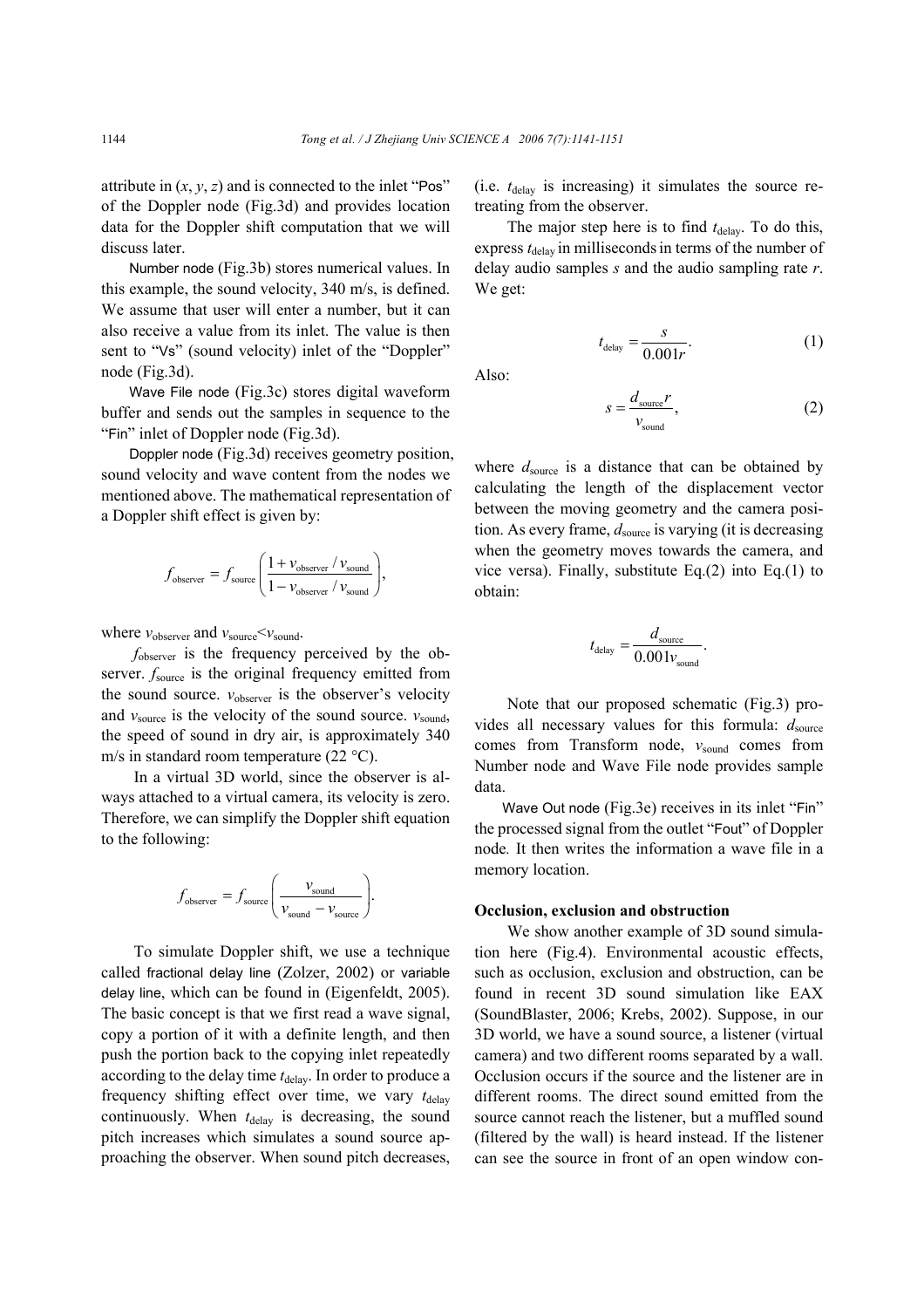attribute in  $(x, y, z)$  and is connected to the inlet "Pos" of the Doppler node (Fig.3d) and provides location data for the Doppler shift computation that we will discuss later.

Number node (Fig.3b) stores numerical values. In this example, the sound velocity, 340 m/s, is defined. We assume that user will enter a number, but it can also receive a value from its inlet. The value is then sent to "Vs" (sound velocity) inlet of the "Doppler" node (Fig.3d).

Wave File node (Fig.3c) stores digital waveform buffer and sends out the samples in sequence to the "Fin" inlet of Doppler node (Fig.3d).

Doppler node (Fig.3d) receives geometry position, sound velocity and wave content from the nodes we mentioned above. The mathematical representation of a Doppler shift effect is given by:

$$
f_{\text{observer}} = f_{\text{source}} \Bigg(\frac{1 + \nu_{\text{observer}}\,/\,\nu_{\text{sound}}}{1 - \nu_{\text{observer}}\,/\,\nu_{\text{sound}}}\Bigg),
$$

where  $v_{\text{observer}}$  and  $v_{\text{source}} < v_{\text{sound}}$ .

*f*observer is the frequency perceived by the observer. *f*<sub>source</sub> is the original frequency emitted from the sound source.  $v_{\text{observer}}$  is the observer's velocity and  $v_{source}$  is the velocity of the sound source.  $v_{sound}$ , the speed of sound in dry air, is approximately 340 m/s in standard room temperature (22 °C).

In a virtual 3D world, since the observer is always attached to a virtual camera, its velocity is zero. Therefore, we can simplify the Doppler shift equation to the following:

$$
f_{\text{observer}} = f_{\text{source}} \left( \frac{v_{\text{sound}}}{v_{\text{sound}} - v_{\text{source}}} \right).
$$

To simulate Doppler shift, we use a technique called fractional delay line (Zolzer, 2002) or variable delay line, which can be found in (Eigenfeldt, 2005). The basic concept is that we first read a wave signal, copy a portion of it with a definite length, and then push the portion back to the copying inlet repeatedly according to the delay time  $t_{\text{delay}}$ . In order to produce a frequency shifting effect over time, we vary  $t_{\text{delay}}$ continuously. When  $t_{\text{delay}}$  is decreasing, the sound pitch increases which simulates a sound source approaching the observer. When sound pitch decreases, (i.e. *t*delay is increasing) it simulates the source retreating from the observer.

The major step here is to find  $t_{\text{delay}}$ . To do this, express  $t_{\text{delay}}$  in milliseconds in terms of the number of delay audio samples *s* and the audio sampling rate *r*. We get:

$$
t_{\text{delay}} = \frac{s}{0.001r}.\tag{1}
$$

Also:

$$
s = \frac{d_{\text{source}}r}{v_{\text{sound}}},\tag{2}
$$

where  $d_{\text{source}}$  is a distance that can be obtained by calculating the length of the displacement vector between the moving geometry and the camera position. As every frame,  $d_{source}$  is varying (it is decreasing when the geometry moves towards the camera, and vice versa). Finally, substitute Eq.(2) into Eq.(1) to obtain:

$$
t_{\text{delay}} = \frac{d_{\text{source}}}{0.001v_{\text{sound}}}.
$$

Note that our proposed schematic (Fig.3) provides all necessary values for this formula:  $d_{source}$ comes from Transform node,  $v_{sound}$  comes from Number node and Wave File node provides sample data.

Wave Out node (Fig.3e) receives in its inlet "Fin" the processed signal from the outlet "Fout" of Doppler node*.* It then writes the information a wave file in a memory location.

# **Occlusion, exclusion and obstruction**

We show another example of 3D sound simulation here (Fig.4). Environmental acoustic effects, such as occlusion, exclusion and obstruction, can be found in recent 3D sound simulation like EAX (SoundBlaster, 2006; Krebs, 2002). Suppose, in our 3D world, we have a sound source, a listener (virtual camera) and two different rooms separated by a wall. Occlusion occurs if the source and the listener are in different rooms. The direct sound emitted from the source cannot reach the listener, but a muffled sound (filtered by the wall) is heard instead. If the listener can see the source in front of an open window con-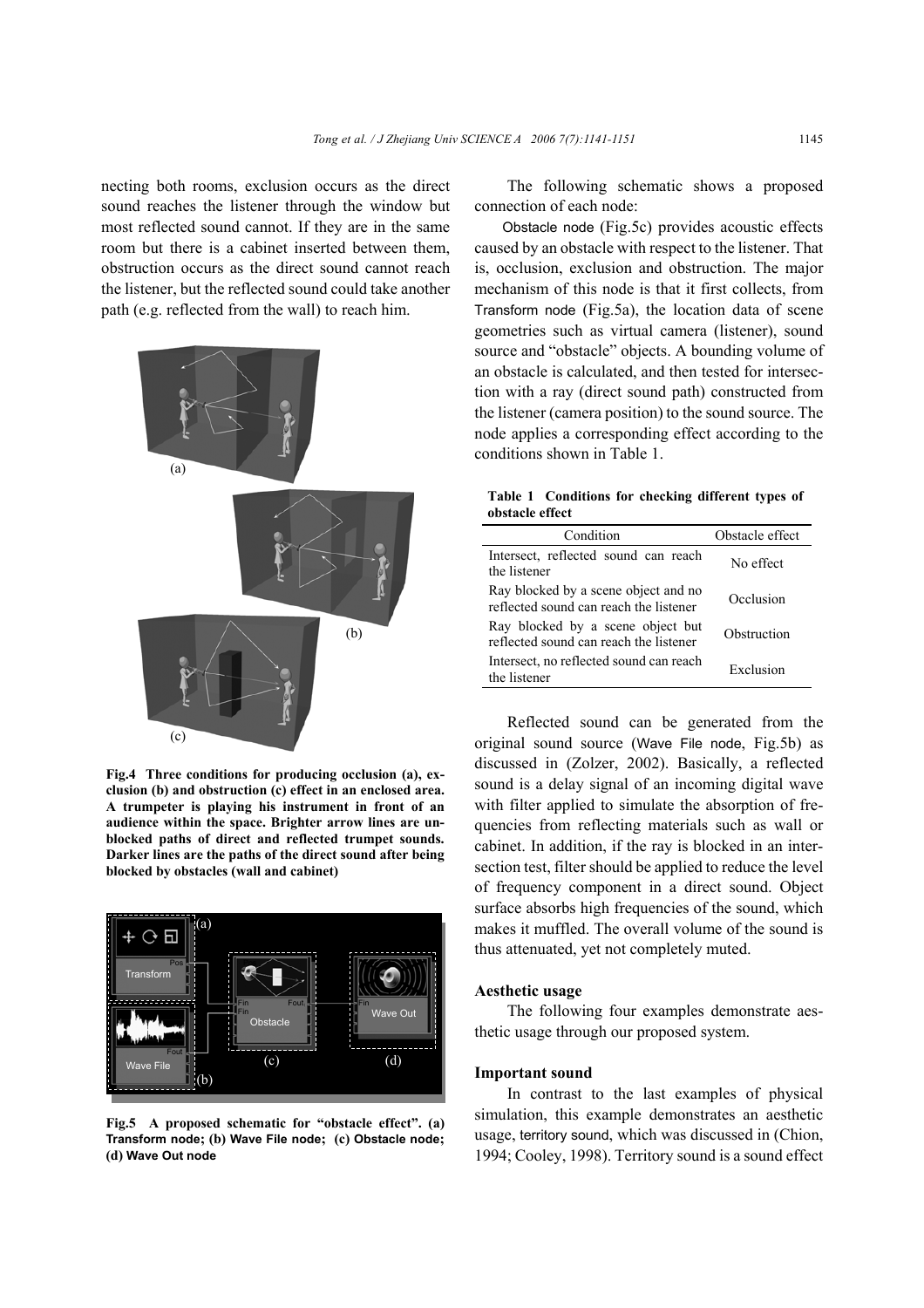necting both rooms, exclusion occurs as the direct sound reaches the listener through the window but most reflected sound cannot. If they are in the same room but there is a cabinet inserted between them, obstruction occurs as the direct sound cannot reach the listener, but the reflected sound could take another path (e.g. reflected from the wall) to reach him.



**Fig.4 Three conditions for producing occlusion (a), exclusion (b) and obstruction (c) effect in an enclosed area. A trumpeter is playing his instrument in front of an audience within the space. Brighter arrow lines are unblocked paths of direct and reflected trumpet sounds. Darker lines are the paths of the direct sound after being blocked by obstacles (wall and cabinet)**



**Fig.5 A proposed schematic for "obstacle effect". (a) Transform node; (b) Wave File node; (c) Obstacle node; (d) Wave Out node**

The following schematic shows a proposed connection of each node:

Obstacle node (Fig.5c) provides acoustic effects caused by an obstacle with respect to the listener. That is, occlusion, exclusion and obstruction. The major mechanism of this node is that it first collects, from Transform node (Fig.5a), the location data of scene geometries such as virtual camera (listener), sound source and "obstacle" objects. A bounding volume of an obstacle is calculated, and then tested for intersection with a ray (direct sound path) constructed from the listener (camera position) to the sound source. The node applies a corresponding effect according to the conditions shown in Table 1.

**Table 1 Conditions for checking different types of obstacle effect** 

| Condition                                                                      | Obstacle effect |
|--------------------------------------------------------------------------------|-----------------|
| Intersect, reflected sound can reach<br>the listener                           | No effect       |
| Ray blocked by a scene object and no<br>reflected sound can reach the listener | Occlusion       |
| Ray blocked by a scene object but<br>reflected sound can reach the listener    | Obstruction     |
| Intersect, no reflected sound can reach<br>the listener                        | Exclusion       |

Reflected sound can be generated from the original sound source (Wave File node, Fig.5b) as discussed in (Zolzer, 2002). Basically, a reflected sound is a delay signal of an incoming digital wave with filter applied to simulate the absorption of frequencies from reflecting materials such as wall or cabinet. In addition, if the ray is blocked in an intersection test, filter should be applied to reduce the level of frequency component in a direct sound. Object surface absorbs high frequencies of the sound, which makes it muffled. The overall volume of the sound is thus attenuated, yet not completely muted.

#### **Aesthetic usage**

The following four examples demonstrate aesthetic usage through our proposed system.

#### **Important sound**

In contrast to the last examples of physical simulation, this example demonstrates an aesthetic usage, territory sound, which was discussed in (Chion, 1994; Cooley, 1998). Territory sound is a sound effect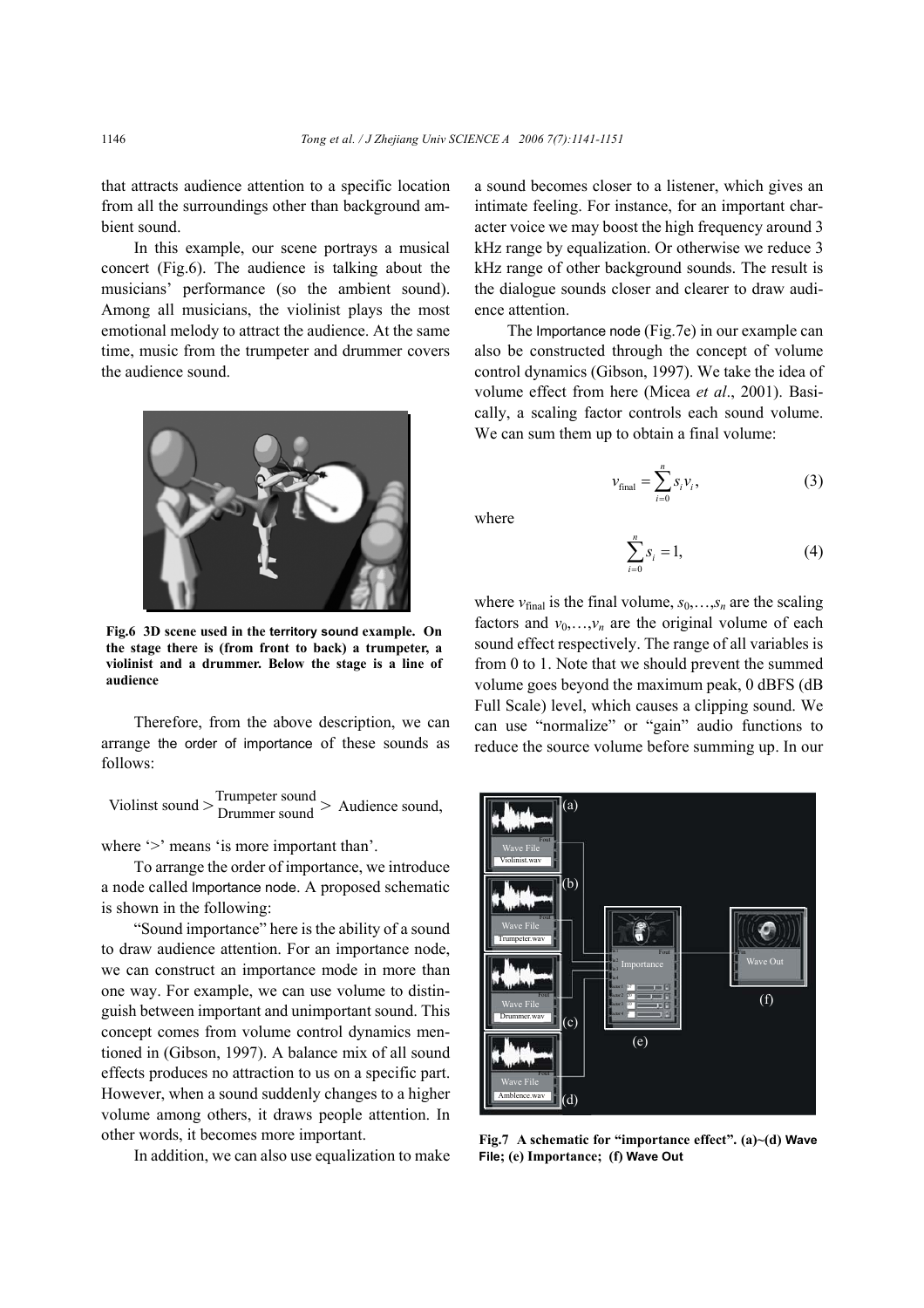that attracts audience attention to a specific location from all the surroundings other than background ambient sound.

In this example, our scene portrays a musical concert (Fig.6). The audience is talking about the musicians' performance (so the ambient sound). Among all musicians, the violinist plays the most emotional melody to attract the audience. At the same time, music from the trumpeter and drummer covers the audience sound.



**Fig.6 3D scene used in the territory sound example. On the stage there is (from front to back) a trumpeter, a violinist and a drummer. Below the stage is a line of audience** 

Therefore, from the above description, we can arrange the order of importance of these sounds as follows:

Violinst sound  $>$  Trumpeter sound  $>$  Audience sound,

where '>' means 'is more important than'.

To arrange the order of importance, we introduce a node called Importance node. A proposed schematic is shown in the following:

"Sound importance" here is the ability of a sound to draw audience attention. For an importance node, we can construct an importance mode in more than one way. For example, we can use volume to distinguish between important and unimportant sound. This concept comes from volume control dynamics mentioned in (Gibson, 1997). A balance mix of all sound effects produces no attraction to us on a specific part. However, when a sound suddenly changes to a higher volume among others, it draws people attention. In other words, it becomes more important.

In addition, we can also use equalization to make

a sound becomes closer to a listener, which gives an intimate feeling. For instance, for an important character voice we may boost the high frequency around 3 kHz range by equalization. Or otherwise we reduce 3 kHz range of other background sounds. The result is the dialogue sounds closer and clearer to draw audience attention.

The Importance node (Fig.7e) in our example can also be constructed through the concept of volume control dynamics (Gibson, 1997). We take the idea of volume effect from here (Micea *et al*., 2001). Basically, a scaling factor controls each sound volume. We can sum them up to obtain a final volume:

$$
v_{\text{final}} = \sum_{i=0}^{n} s_i v_i, \tag{3}
$$

where

$$
\sum_{i=0}^{n} S_i = 1,
$$
\n(4)

where  $v_{final}$  is the final volume,  $s_0$ , ..., $s_n$  are the scaling factors and  $v_0, \ldots, v_n$  are the original volume of each sound effect respectively. The range of all variables is from 0 to 1. Note that we should prevent the summed volume goes beyond the maximum peak, 0 dBFS (dB Full Scale) level, which causes a clipping sound. We can use "normalize" or "gain" audio functions to reduce the source volume before summing up. In our



**Fig.7 A schematic for "importance effect". (a)~(d) Wave File; (e) Importance; (f) Wave Out**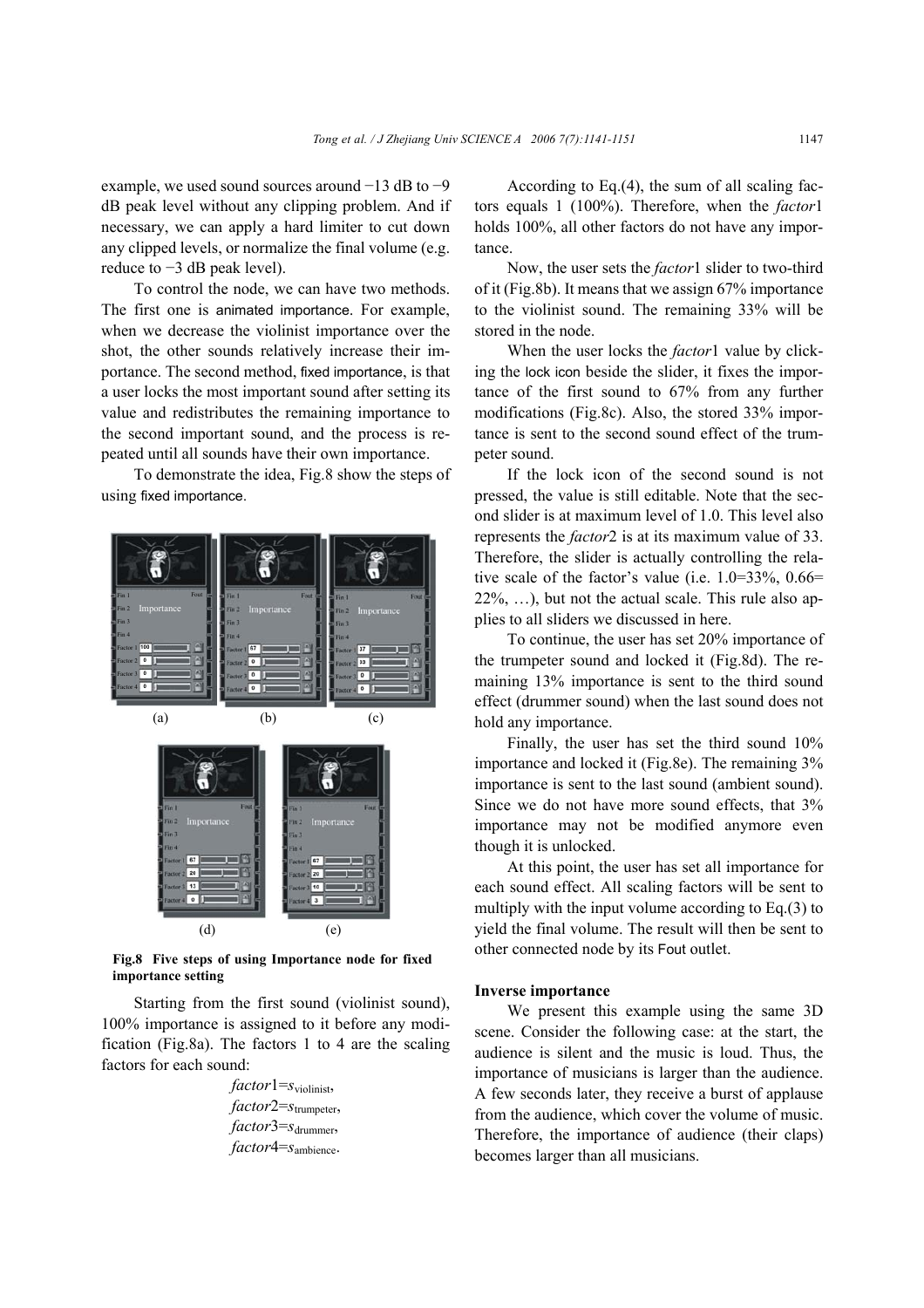example, we used sound sources around −13 dB to −9 dB peak level without any clipping problem. And if necessary, we can apply a hard limiter to cut down any clipped levels, or normalize the final volume (e.g. reduce to −3 dB peak level).

To control the node, we can have two methods. The first one is animated importance. For example, when we decrease the violinist importance over the shot, the other sounds relatively increase their importance. The second method, fixed importance, is that a user locks the most important sound after setting its value and redistributes the remaining importance to the second important sound, and the process is repeated until all sounds have their own importance.

To demonstrate the idea, Fig.8 show the steps of using fixed importance.



**Fig.8 Five steps of using Importance node for fixed importance setting**

Starting from the first sound (violinist sound), 100% importance is assigned to it before any modification (Fig.8a). The factors 1 to 4 are the scaling factors for each sound:

| $factor1 = s_{\text{violinist}}$ |
|----------------------------------|
| $factor2 = s_{trumpeter}$        |
| $factor3 = s_{drummer}$          |
| factor4=S <sub>ambience</sub> .  |

According to Eq.(4), the sum of all scaling factors equals 1 (100%). Therefore, when the *factor*1 holds 100%, all other factors do not have any importance.

Now, the user sets the *factor*1 slider to two-third of it (Fig.8b). It means that we assign 67% importance to the violinist sound. The remaining 33% will be stored in the node.

When the user locks the *factor*1 value by clicking the lock icon beside the slider, it fixes the importance of the first sound to 67% from any further modifications (Fig.8c). Also, the stored 33% importance is sent to the second sound effect of the trumpeter sound.

If the lock icon of the second sound is not pressed, the value is still editable. Note that the second slider is at maximum level of 1.0. This level also represents the *factor*2 is at its maximum value of 33. Therefore, the slider is actually controlling the relative scale of the factor's value (i.e. 1.0=33%, 0.66= 22%, …), but not the actual scale. This rule also applies to all sliders we discussed in here.

To continue, the user has set 20% importance of the trumpeter sound and locked it (Fig.8d). The remaining 13% importance is sent to the third sound effect (drummer sound) when the last sound does not hold any importance.

Finally, the user has set the third sound 10% importance and locked it (Fig.8e). The remaining 3% importance is sent to the last sound (ambient sound). Since we do not have more sound effects, that 3% importance may not be modified anymore even though it is unlocked.

At this point, the user has set all importance for each sound effect. All scaling factors will be sent to multiply with the input volume according to Eq.(3) to yield the final volume. The result will then be sent to other connected node by its Fout outlet.

#### **Inverse importance**

We present this example using the same 3D scene. Consider the following case: at the start, the audience is silent and the music is loud. Thus, the importance of musicians is larger than the audience. A few seconds later, they receive a burst of applause from the audience, which cover the volume of music. Therefore, the importance of audience (their claps) becomes larger than all musicians.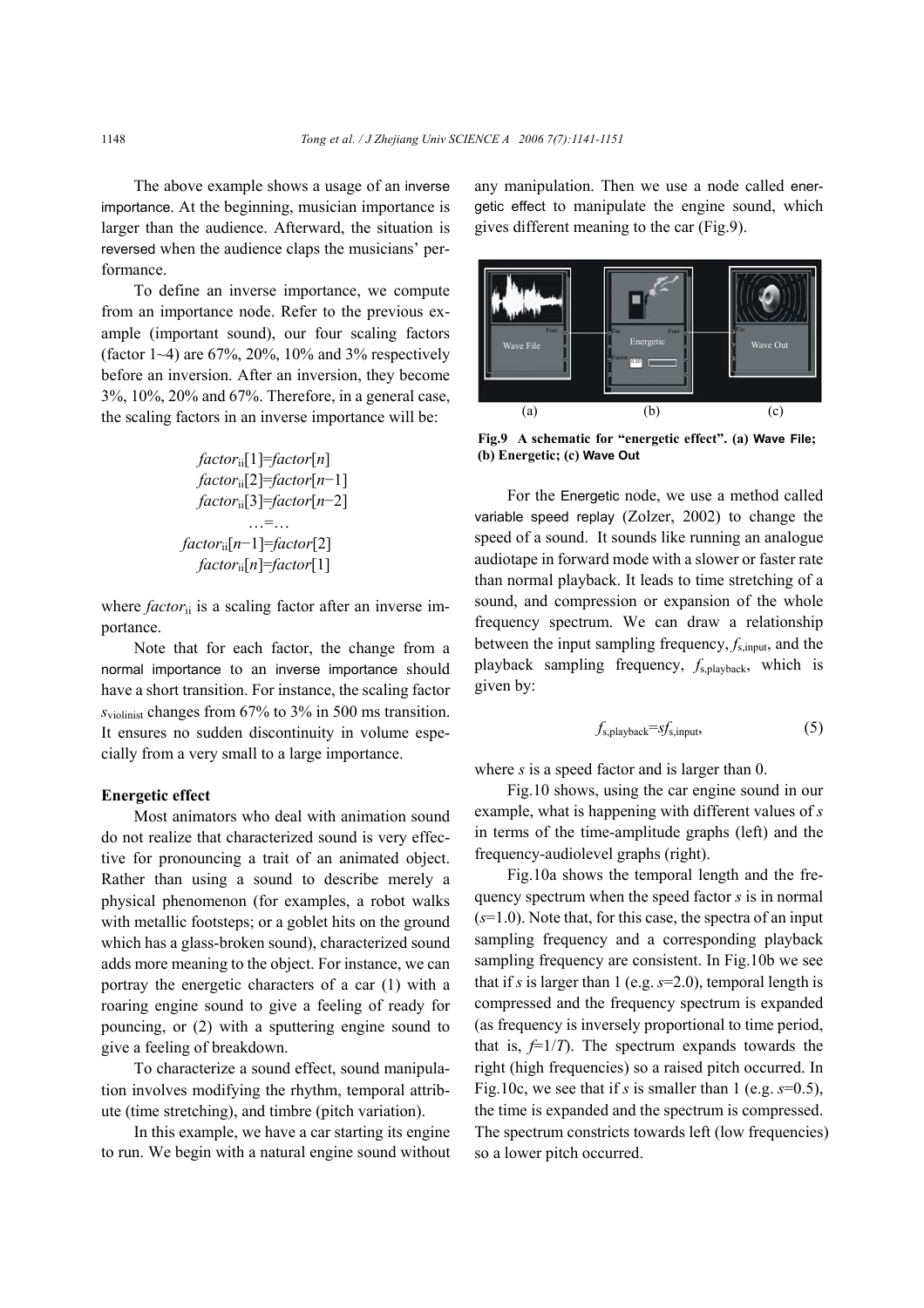The above example shows a usage of an inverse importance. At the beginning, musician importance is larger than the audience. Afterward, the situation is reversed when the audience claps the musicians' performance.

To define an inverse importance, we compute from an importance node. Refer to the previous example (important sound), our four scaling factors (factor  $1-4$ ) are 67%, 20%, 10% and 3% respectively before an inversion. After an inversion, they become 3%, 10%, 20% and 67%. Therefore, in a general case, the scaling factors in an inverse importance will be:

$$
factor_{ii}[1]=factor[n]
$$
\n
$$
factor_{ii}[2]=factor[n-1]
$$
\n
$$
factor_{ii}[3]=factor[n-2]
$$
\n
$$
...=...
$$
\n
$$
factor_{ii}[n-1]=factor[2]
$$
\n
$$
factor_{ii}[n]=factor[1]
$$

where *factor*<sub>ii</sub> is a scaling factor after an inverse importance.

Note that for each factor, the change from a normal importance to an inverse importance should have a short transition. For instance, the scaling factor *s*violinist changes from 67% to 3% in 500 ms transition. It ensures no sudden discontinuity in volume especially from a very small to a large importance.

#### **Energetic effect**

Most animators who deal with animation sound do not realize that characterized sound is very effective for pronouncing a trait of an animated object. Rather than using a sound to describe merely a physical phenomenon (for examples, a robot walks with metallic footsteps; or a goblet hits on the ground which has a glass-broken sound), characterized sound adds more meaning to the object. For instance, we can portray the energetic characters of a car (1) with a roaring engine sound to give a feeling of ready for pouncing, or (2) with a sputtering engine sound to give a feeling of breakdown.

To characterize a sound effect, sound manipulation involves modifying the rhythm, temporal attribute (time stretching), and timbre (pitch variation).

In this example, we have a car starting its engine to run. We begin with a natural engine sound without any manipulation. Then we use a node called energetic effect to manipulate the engine sound, which gives different meaning to the car (Fig.9).



**Fig.9 A schematic for "energetic effect". (a) Wave File; (b) Energetic; (c) Wave Out**

For the Energetic node, we use a method called variable speed replay (Zolzer, 2002) to change the speed of a sound. It sounds like running an analogue audiotape in forward mode with a slower or faster rate than normal playback. It leads to time stretching of a sound, and compression or expansion of the whole frequency spectrum. We can draw a relationship between the input sampling frequency,  $f_s$ <sub>input</sub>, and the playback sampling frequency, *f*s,playback, which is given by:

$$
f_{\text{s},\text{playback}} = sf_{\text{s},\text{input}},\tag{5}
$$

where *s* is a speed factor and is larger than 0.

Fig.10 shows, using the car engine sound in our example, what is happening with different values of *s* in terms of the time-amplitude graphs (left) and the frequency-audiolevel graphs (right).

Fig.10a shows the temporal length and the frequency spectrum when the speed factor *s* is in normal (*s*=1.0). Note that, for this case, the spectra of an input sampling frequency and a corresponding playback sampling frequency are consistent. In Fig.10b we see that if *s* is larger than 1 (e.g. *s*=2.0), temporal length is compressed and the frequency spectrum is expanded (as frequency is inversely proportional to time period, that is,  $f=1/T$ ). The spectrum expands towards the right (high frequencies) so a raised pitch occurred. In Fig.10c, we see that if *s* is smaller than 1 (e.g. *s*=0.5), the time is expanded and the spectrum is compressed. The spectrum constricts towards left (low frequencies) so a lower pitch occurred.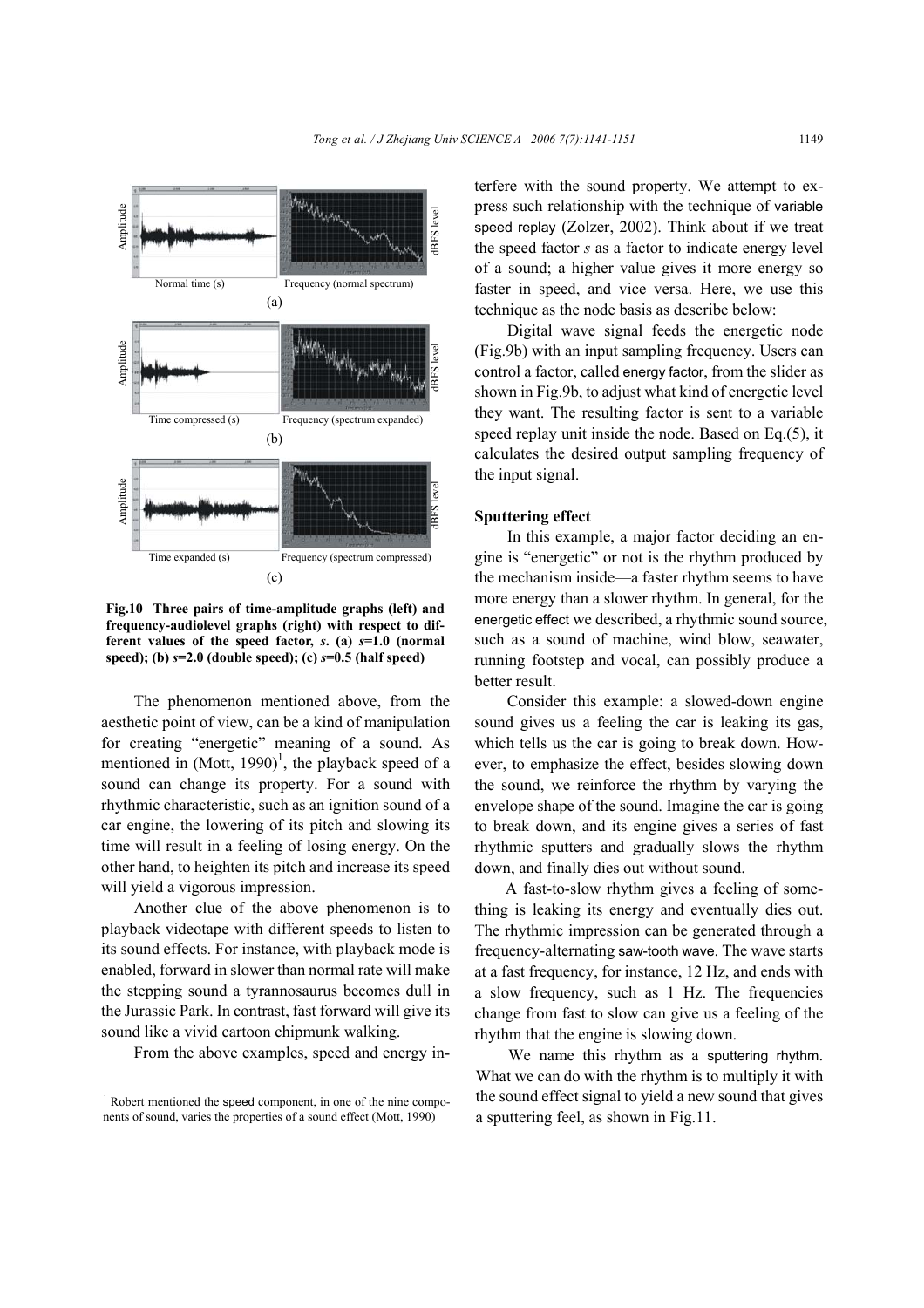

**Fig.10 Three pairs of time-amplitude graphs (left) and frequency-audiolevel graphs (right) with respect to different values of the speed factor,** *s***. (a)** *s***=1.0 (normal speed); (b)** *s***=2.0 (double speed); (c)** *s***=0.5 (half speed)** 

The phenomenon mentioned above, from the aesthetic point of view, can be a kind of manipulation for creating "energetic" meaning of a sound. As mentioned in  $(Mott, 1990)^1$ , the playback speed of a sound can change its property. For a sound with rhythmic characteristic, such as an ignition sound of a car engine, the lowering of its pitch and slowing its time will result in a feeling of losing energy. On the other hand, to heighten its pitch and increase its speed will yield a vigorous impression.

Another clue of the above phenomenon is to playback videotape with different speeds to listen to its sound effects. For instance, with playback mode is enabled, forward in slower than normal rate will make the stepping sound a tyrannosaurus becomes dull in the Jurassic Park. In contrast, fast forward will give its sound like a vivid cartoon chipmunk walking.

From the above examples, speed and energy in-

terfere with the sound property. We attempt to express such relationship with the technique of variable speed replay (Zolzer, 2002). Think about if we treat the speed factor *s* as a factor to indicate energy level of a sound; a higher value gives it more energy so faster in speed, and vice versa. Here, we use this technique as the node basis as describe below:

Digital wave signal feeds the energetic node (Fig.9b) with an input sampling frequency. Users can control a factor, called energy factor, from the slider as shown in Fig.9b, to adjust what kind of energetic level they want. The resulting factor is sent to a variable speed replay unit inside the node. Based on Eq.(5), it calculates the desired output sampling frequency of the input signal.

## **Sputtering effect**

In this example, a major factor deciding an engine is "energetic" or not is the rhythm produced by the mechanism inside—a faster rhythm seems to have more energy than a slower rhythm. In general, for the energetic effect we described, a rhythmic sound source, such as a sound of machine, wind blow, seawater, running footstep and vocal, can possibly produce a better result.

Consider this example: a slowed-down engine sound gives us a feeling the car is leaking its gas, which tells us the car is going to break down. However, to emphasize the effect, besides slowing down the sound, we reinforce the rhythm by varying the envelope shape of the sound. Imagine the car is going to break down, and its engine gives a series of fast rhythmic sputters and gradually slows the rhythm down, and finally dies out without sound.

A fast-to-slow rhythm gives a feeling of something is leaking its energy and eventually dies out. The rhythmic impression can be generated through a frequency-alternating saw-tooth wave. The wave starts at a fast frequency, for instance, 12 Hz, and ends with a slow frequency, such as 1 Hz. The frequencies change from fast to slow can give us a feeling of the rhythm that the engine is slowing down.

We name this rhythm as a sputtering rhythm. What we can do with the rhythm is to multiply it with the sound effect signal to yield a new sound that gives a sputtering feel, as shown in Fig.11.

<sup>&</sup>lt;sup>1</sup> Robert mentioned the speed component, in one of the nine components of sound, varies the properties of a sound effect (Mott, 1990)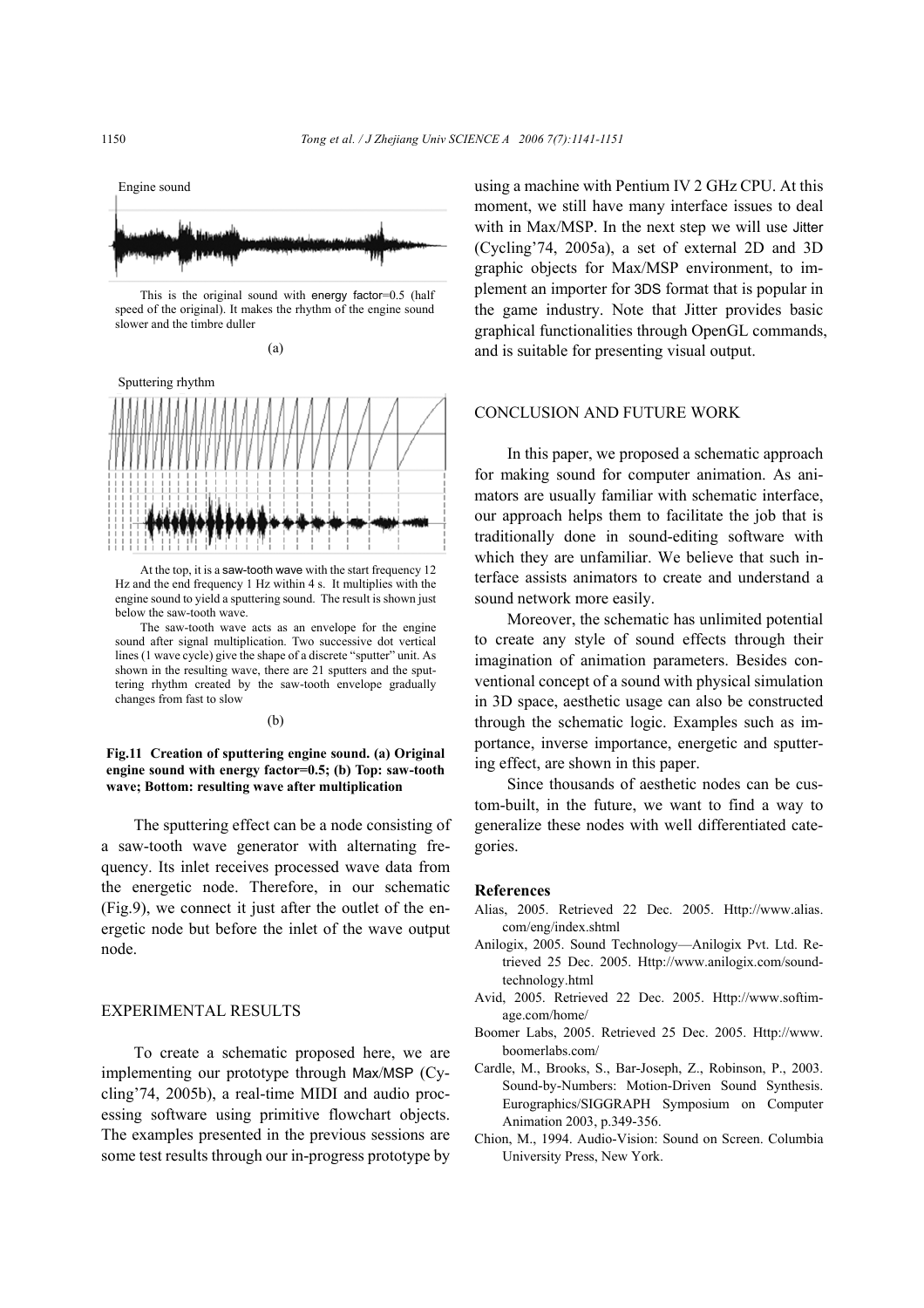

This is the original sound with energy factor=0.5 (half speed of the original). It makes the rhythm of the engine sound slower and the timbre duller

(a)



At the top, it is a saw-tooth wave with the start frequency 12 Hz and the end frequency 1 Hz within 4 s. It multiplies with the engine sound to yield a sputtering sound. The result is shown just below the saw-tooth wave.

The saw-tooth wave acts as an envelope for the engine sound after signal multiplication. Two successive dot vertical lines (1 wave cycle) give the shape of a discrete "sputter" unit. As shown in the resulting wave, there are 21 sputters and the sputtering rhythm created by the saw-tooth envelope gradually changes from fast to slow

#### (b)

#### **Fig.11 Creation of sputtering engine sound. (a) Original engine sound with energy factor=0.5; (b) Top: saw-tooth wave; Bottom: resulting wave after multiplication**

The sputtering effect can be a node consisting of a saw-tooth wave generator with alternating frequency. Its inlet receives processed wave data from the energetic node. Therefore, in our schematic (Fig.9), we connect it just after the outlet of the energetic node but before the inlet of the wave output node.

## EXPERIMENTAL RESULTS

To create a schematic proposed here, we are implementing our prototype through Max/MSP (Cycling'74, 2005b), a real-time MIDI and audio processing software using primitive flowchart objects. The examples presented in the previous sessions are some test results through our in-progress prototype by using a machine with Pentium IV 2 GHz CPU. At this moment, we still have many interface issues to deal with in Max/MSP. In the next step we will use Jitter (Cycling'74, 2005a), a set of external 2D and 3D graphic objects for Max/MSP environment, to implement an importer for 3DS format that is popular in the game industry. Note that Jitter provides basic graphical functionalities through OpenGL commands, and is suitable for presenting visual output.

#### CONCLUSION AND FUTURE WORK

In this paper, we proposed a schematic approach for making sound for computer animation. As animators are usually familiar with schematic interface, our approach helps them to facilitate the job that is traditionally done in sound-editing software with which they are unfamiliar. We believe that such interface assists animators to create and understand a sound network more easily.

Moreover, the schematic has unlimited potential to create any style of sound effects through their imagination of animation parameters. Besides conventional concept of a sound with physical simulation in 3D space, aesthetic usage can also be constructed through the schematic logic. Examples such as importance, inverse importance, energetic and sputtering effect, are shown in this paper.

Since thousands of aesthetic nodes can be custom-built, in the future, we want to find a way to generalize these nodes with well differentiated categories.

#### **References**

- Alias, 2005. Retrieved 22 Dec. 2005. Http://www.alias. com/eng/index.shtml
- Anilogix, 2005. Sound Technology—Anilogix Pvt. Ltd. Retrieved 25 Dec. 2005. Http://www.anilogix.com/soundtechnology.html
- Avid, 2005. Retrieved 22 Dec. 2005. Http://www.softimage.com/home/
- Boomer Labs, 2005. Retrieved 25 Dec. 2005. Http://www. boomerlabs.com/
- Cardle, M., Brooks, S., Bar-Joseph, Z., Robinson, P., 2003. Sound-by-Numbers: Motion-Driven Sound Synthesis. Eurographics/SIGGRAPH Symposium on Computer Animation 2003, p.349-356.
- Chion, M., 1994. Audio-Vision: Sound on Screen. Columbia University Press, New York.